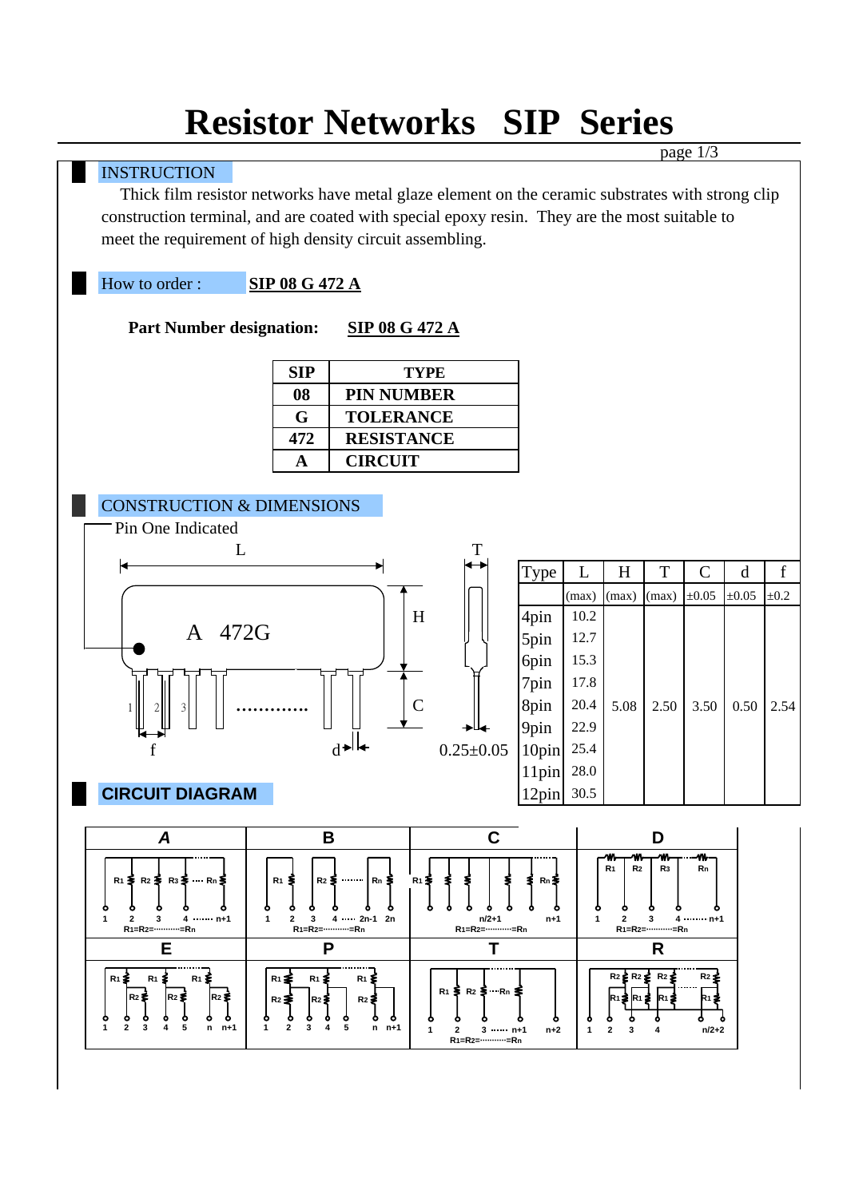# **Resistor Networks SIP Series**

|  |                                                                                                  |                                                                                                                                                              |                                           |       |                                                                                              | page $1/3$          |                              |             |  |
|--|--------------------------------------------------------------------------------------------------|--------------------------------------------------------------------------------------------------------------------------------------------------------------|-------------------------------------------|-------|----------------------------------------------------------------------------------------------|---------------------|------------------------------|-------------|--|
|  | <b>INSTRUCTION</b>                                                                               |                                                                                                                                                              |                                           |       |                                                                                              |                     |                              |             |  |
|  | Thick film resistor networks have metal glaze element on the ceramic substrates with strong clip |                                                                                                                                                              |                                           |       |                                                                                              |                     |                              |             |  |
|  |                                                                                                  | construction terminal, and are coated with special epoxy resin. They are the most suitable to                                                                |                                           |       |                                                                                              |                     |                              |             |  |
|  | meet the requirement of high density circuit assembling.                                         |                                                                                                                                                              |                                           |       |                                                                                              |                     |                              |             |  |
|  |                                                                                                  |                                                                                                                                                              |                                           |       |                                                                                              |                     |                              |             |  |
|  | How to order:                                                                                    | <b>SIP 08 G 472 A</b>                                                                                                                                        |                                           |       |                                                                                              |                     |                              |             |  |
|  |                                                                                                  |                                                                                                                                                              |                                           |       |                                                                                              |                     |                              |             |  |
|  | <b>Part Number designation:</b><br><b>SIP 08 G 472 A</b>                                         |                                                                                                                                                              |                                           |       |                                                                                              |                     |                              |             |  |
|  |                                                                                                  | <b>SIP</b>                                                                                                                                                   | <b>TYPE</b>                               |       |                                                                                              |                     |                              |             |  |
|  |                                                                                                  | <b>PIN NUMBER</b><br>08                                                                                                                                      |                                           |       |                                                                                              |                     |                              |             |  |
|  |                                                                                                  | G<br><b>TOLERANCE</b>                                                                                                                                        |                                           |       |                                                                                              |                     |                              |             |  |
|  |                                                                                                  | <b>RESISTANCE</b><br>472                                                                                                                                     |                                           |       |                                                                                              |                     |                              |             |  |
|  |                                                                                                  | <b>CIRCUIT</b><br>$\mathbf A$                                                                                                                                |                                           |       |                                                                                              |                     |                              |             |  |
|  |                                                                                                  |                                                                                                                                                              |                                           |       |                                                                                              |                     |                              |             |  |
|  | <b>CONSTRUCTION &amp; DIMENSIONS</b>                                                             |                                                                                                                                                              |                                           |       |                                                                                              |                     |                              |             |  |
|  | Pin One Indicated                                                                                |                                                                                                                                                              |                                           |       |                                                                                              |                     |                              |             |  |
|  | L                                                                                                |                                                                                                                                                              | T                                         |       |                                                                                              |                     |                              |             |  |
|  |                                                                                                  |                                                                                                                                                              |                                           | Type  | L<br>H                                                                                       | $\mathbf T$         | $\mathcal{C}$<br>$\mathbf d$ | $\mathbf f$ |  |
|  |                                                                                                  |                                                                                                                                                              |                                           |       | (max)<br>(max)                                                                               | $\pm 0.05$<br>(max) | $\pm 0.05$                   | $\pm 0.2$   |  |
|  |                                                                                                  |                                                                                                                                                              | H                                         | 4pin  | 10.2                                                                                         |                     |                              |             |  |
|  | A 472G                                                                                           |                                                                                                                                                              |                                           | 5pin  | 12.7                                                                                         |                     |                              |             |  |
|  |                                                                                                  |                                                                                                                                                              |                                           | 6pin  | 15.3                                                                                         |                     |                              |             |  |
|  |                                                                                                  |                                                                                                                                                              |                                           | 7pin  | 17.8                                                                                         |                     |                              |             |  |
|  |                                                                                                  |                                                                                                                                                              | $\mathsf{C}$                              | 8pin  | 20.4<br>5.08                                                                                 | 2.50                | 3.50                         | $0.50$ 2.54 |  |
|  |                                                                                                  |                                                                                                                                                              |                                           | 9pin  | 22.9                                                                                         |                     |                              |             |  |
|  |                                                                                                  |                                                                                                                                                              | $0.25 \pm 0.05$                           | 10pin | 25.4                                                                                         |                     |                              |             |  |
|  |                                                                                                  |                                                                                                                                                              |                                           | 11pin | 28.0                                                                                         |                     |                              |             |  |
|  | <b>CIRCUIT DIAGRAM</b><br>12pin 30.5                                                             |                                                                                                                                                              |                                           |       |                                                                                              |                     |                              |             |  |
|  |                                                                                                  |                                                                                                                                                              |                                           |       |                                                                                              |                     |                              |             |  |
|  | C<br>B<br>D<br>A                                                                                 |                                                                                                                                                              |                                           |       |                                                                                              |                     |                              |             |  |
|  | w,<br>R <sub>1</sub><br>R <sub>2</sub>                                                           |                                                                                                                                                              |                                           |       | m.<br>R <sub>3</sub>                                                                         | -m<br>Rn            |                              |             |  |
|  | R1 ≩ R2 ≩ R3 ≩ … Rn ≨<br>$R_1$ $\leq$<br>……   Rn ≶<br>$R_1 \geq$<br>R2 S<br>Rn ≩                 |                                                                                                                                                              |                                           |       |                                                                                              |                     |                              |             |  |
|  | ۰<br>۰<br>٥<br>٥                                                                                 |                                                                                                                                                              |                                           |       |                                                                                              |                     |                              |             |  |
|  | 1<br>$4 \cdots$ n+1<br>$\mathbf{2}$<br>3<br>R <sub>1</sub> =R <sub>2</sub> =………=Rn               | $\overline{2}$<br>3 $4 \cdots 2n-1$ 2n<br>$n/2 + 1$<br>1<br>R <sub>1</sub> =R <sub>2</sub> =-----------=Rn<br>R <sub>1</sub> =R <sub>2</sub> =-----------=Rn |                                           |       | $\mathbf{2}$<br>3<br>$4 \cdots$ n+1<br>$n+1$<br>1<br>R <sub>1</sub> =R <sub>2</sub> =…………=Rn |                     |                              |             |  |
|  | Е                                                                                                | P<br>Т                                                                                                                                                       |                                           |       | R                                                                                            |                     |                              |             |  |
|  | R1 ≸<br>R <sub>1</sub><br>$R_1 \Sigma$                                                           | $R_1 \geq$<br>$R1 \leq$<br>R1 ≨                                                                                                                              |                                           |       | R2 ≦ R2 ≨ R2 \$                                                                              |                     | R2 ≴                         |             |  |
|  | $R2$ $\approx$<br> R2 ≸<br>lR2 ≸                                                                 | $R2 \geq$<br>$R2 \geq$<br>R2 ₹                                                                                                                               | $R_1 \leq R_2 \leq R_3 \leq$              |       |                                                                                              |                     |                              |             |  |
|  | ۰<br>۰<br>۰<br>۰<br>۰<br>ο<br>1<br>$\mathbf{2}$<br>5                                             | ۰<br>۰<br>۰<br>۰<br>۰<br>o<br>5<br>1<br>$\mathbf{2}$<br>3<br>$\overline{\mathbf{4}}$                                                                         |                                           |       |                                                                                              |                     |                              |             |  |
|  | 3<br>4<br>$n$ $n+1$                                                                              | $n$ $n+1$                                                                                                                                                    | 2<br>$3 \cdots n+1$<br>1<br>R1=R2=…………=Rn | $n+2$ | $\mathbf{2}$<br>1<br>3                                                                       |                     | $n/2+2$                      |             |  |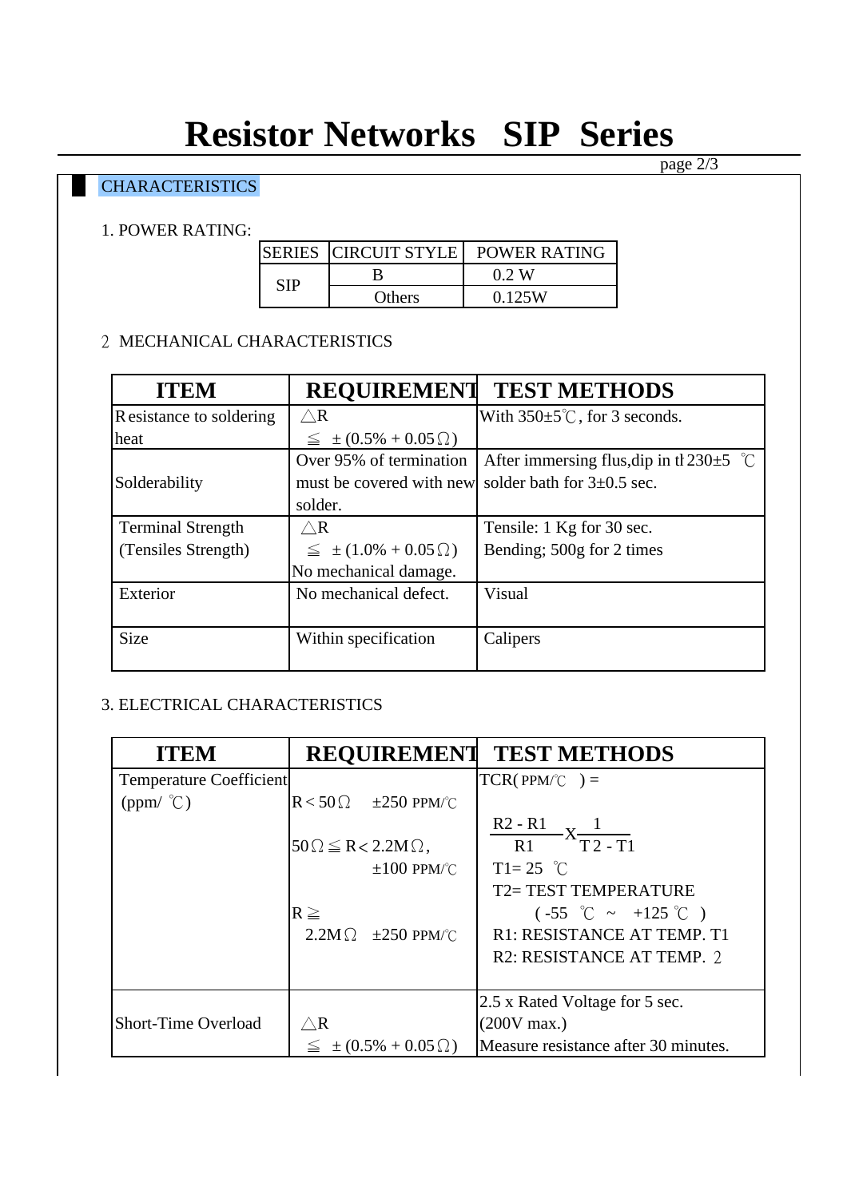# **Resistor Networks SIP Series**

# **CHARACTERISTICS**

#### 1. POWER RATING:

|     | SERIES   CIRCUIT STYLE | POWER RATING |
|-----|------------------------|--------------|
| SIP |                        | 0 2 W        |
|     | Others                 | 0.125W       |

### 2 MECHANICAL CHARACTERISTICS

| <b>ITEM</b>              | <b>REQUIREMENT</b>                 | <b>TEST METHODS</b>                             |
|--------------------------|------------------------------------|-------------------------------------------------|
| R esistance to soldering | $\bigtriangleup{\mathsf{R}}$       | With $350 \pm 5^{\circ}$ C, for 3 seconds.      |
| heat                     | $\leq$ $\pm (0.5\% + 0.05\Omega)$  |                                                 |
|                          | Over 95% of termination            | After immersing flus, dip in the 230 $\pm$ 5 °C |
| Solderability            | must be covered with new           | solder bath for $3\pm0.5$ sec.                  |
|                          | solder.                            |                                                 |
| <b>Terminal Strength</b> | $\bigtriangleup{\mathbf R}$        | Tensile: 1 Kg for 30 sec.                       |
| (Tensiles Strength)      | $\leq$ $\pm (1.0\% + 0.05 \Omega)$ | Bending; 500g for 2 times                       |
|                          | No mechanical damage.              |                                                 |
| Exterior                 | No mechanical defect.              | Visual                                          |
|                          |                                    |                                                 |
| <b>Size</b>              | Within specification               | Calipers                                        |
|                          |                                    |                                                 |

### 3. ELECTRICAL CHARACTERISTICS

| <b>ITEM</b>                    | <b>REQUIREMENT</b>                     | <b>TEST METHODS</b>                            |
|--------------------------------|----------------------------------------|------------------------------------------------|
| <b>Temperature Coefficient</b> |                                        | $TCR(PPM\degree C) =$                          |
| $(ppm/$ °C)                    | $R < 50 \Omega$ $\pm 250$ PPM/°C       |                                                |
|                                | $50\Omega \leq R < 2.2M\Omega$ ,       | $rac{R2 - R1}{R1}$ $X \frac{1}{T2 - T1}$       |
|                                | $\pm 100$ PPM/°C                       | $T1 = 25$ °C                                   |
|                                |                                        | <b>T2= TEST TEMPERATURE</b>                    |
|                                | $R \geq$                               | $(-55^{\circ}$ $\sim$ $+125^{\circ}$ $\circ$ ) |
|                                | $2.2M\Omega$ $\pm 250$ PPM/°C          | R1: RESISTANCE AT TEMP. T1                     |
|                                |                                        | R <sub>2</sub> : RESISTANCE AT TEMP. 2         |
|                                |                                        | 2.5 x Rated Voltage for 5 sec.                 |
| <b>Short-Time Overload</b>     | $\bigtriangleup{\sf R}$                | $(200V)$ max.)                                 |
|                                |                                        |                                                |
|                                | $\pm (0.5\% + 0.05\,\Omega)$<br>$\leq$ | Measure resistance after 30 minutes.           |

page 2/3